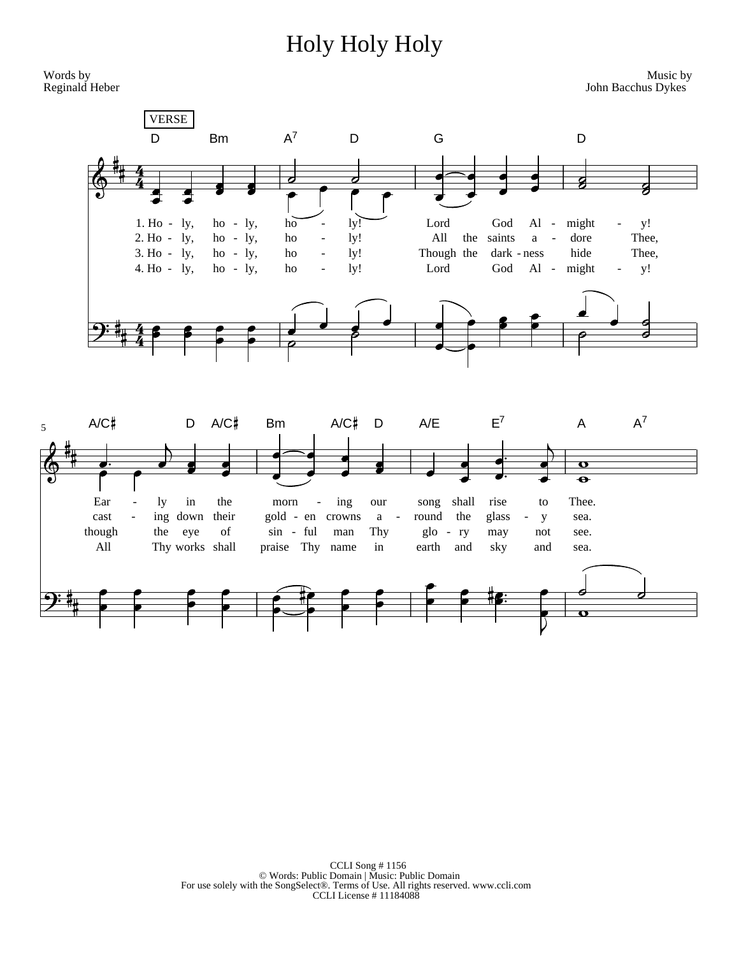## Holy Holy Holy